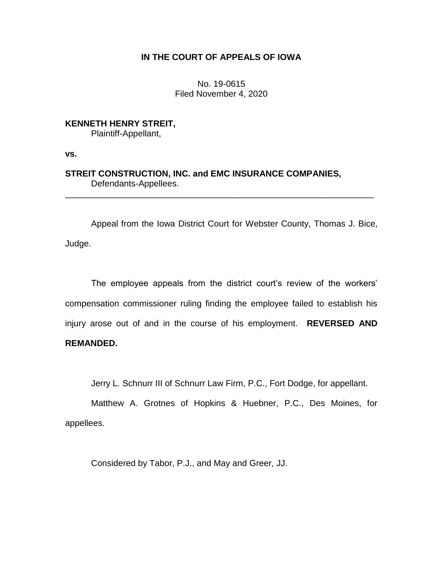## **IN THE COURT OF APPEALS OF IOWA**

No. 19-0615 Filed November 4, 2020

**KENNETH HENRY STREIT,**

Plaintiff-Appellant,

**vs.**

## **STREIT CONSTRUCTION, INC. and EMC INSURANCE COMPANIES,** Defendants-Appellees.

Appeal from the Iowa District Court for Webster County, Thomas J. Bice, Judge.

\_\_\_\_\_\_\_\_\_\_\_\_\_\_\_\_\_\_\_\_\_\_\_\_\_\_\_\_\_\_\_\_\_\_\_\_\_\_\_\_\_\_\_\_\_\_\_\_\_\_\_\_\_\_\_\_\_\_\_\_\_\_\_\_

The employee appeals from the district court's review of the workers' compensation commissioner ruling finding the employee failed to establish his injury arose out of and in the course of his employment. **REVERSED AND REMANDED.**

Jerry L. Schnurr III of Schnurr Law Firm, P.C., Fort Dodge, for appellant.

Matthew A. Grotnes of Hopkins & Huebner, P.C., Des Moines, for appellees.

Considered by Tabor, P.J., and May and Greer, JJ.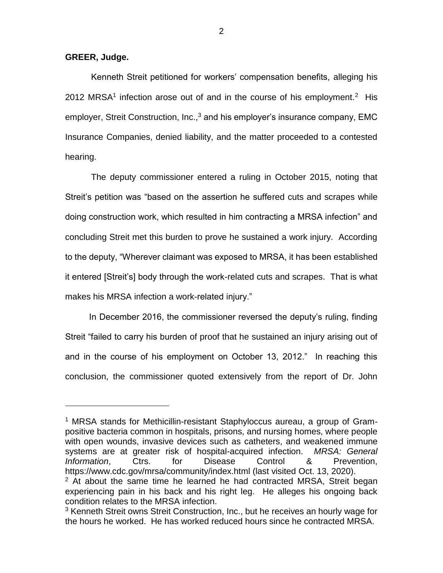## **GREER, Judge.**

 $\overline{\phantom{a}}$ 

Kenneth Streit petitioned for workers' compensation benefits, alleging his 2012 MRSA<sup>1</sup> infection arose out of and in the course of his employment.<sup>2</sup> His employer, Streit Construction, Inc.,<sup>3</sup> and his employer's insurance company, EMC Insurance Companies, denied liability, and the matter proceeded to a contested hearing.

The deputy commissioner entered a ruling in October 2015, noting that Streit's petition was "based on the assertion he suffered cuts and scrapes while doing construction work, which resulted in him contracting a MRSA infection" and concluding Streit met this burden to prove he sustained a work injury. According to the deputy, "Wherever claimant was exposed to MRSA, it has been established it entered [Streit's] body through the work-related cuts and scrapes. That is what makes his MRSA infection a work-related injury."

In December 2016, the commissioner reversed the deputy's ruling, finding Streit "failed to carry his burden of proof that he sustained an injury arising out of and in the course of his employment on October 13, 2012." In reaching this conclusion, the commissioner quoted extensively from the report of Dr. John

<sup>1</sup> MRSA stands for Methicillin-resistant Staphyloccus aureau, a group of Grampositive bacteria common in hospitals, prisons, and nursing homes, where people with open wounds, invasive devices such as catheters, and weakened immune systems are at greater risk of hospital-acquired infection. *MRSA: General Information*, Ctrs. for Disease Control & Prevention, https://www.cdc.gov/mrsa/community/index.html (last visited Oct. 13, 2020).

 $2$  At about the same time he learned he had contracted MRSA, Streit began experiencing pain in his back and his right leg. He alleges his ongoing back condition relates to the MRSA infection.

<sup>&</sup>lt;sup>3</sup> Kenneth Streit owns Streit Construction, Inc., but he receives an hourly wage for the hours he worked. He has worked reduced hours since he contracted MRSA.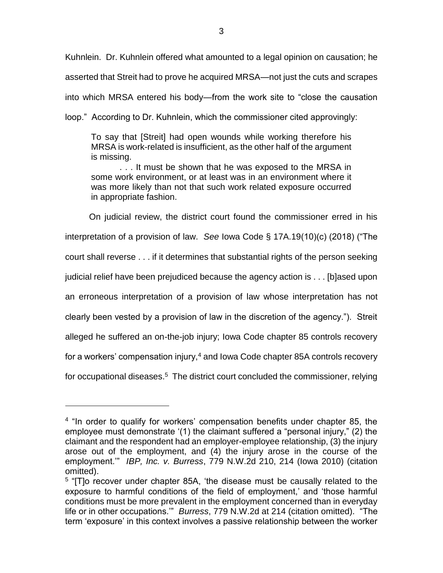Kuhnlein. Dr. Kuhnlein offered what amounted to a legal opinion on causation; he asserted that Streit had to prove he acquired MRSA—not just the cuts and scrapes into which MRSA entered his body—from the work site to "close the causation loop." According to Dr. Kuhnlein, which the commissioner cited approvingly:

To say that [Streit] had open wounds while working therefore his MRSA is work-related is insufficient, as the other half of the argument is missing.

. . . It must be shown that he was exposed to the MRSA in some work environment, or at least was in an environment where it was more likely than not that such work related exposure occurred in appropriate fashion.

On judicial review, the district court found the commissioner erred in his interpretation of a provision of law. *See* Iowa Code § 17A.19(10)(c) (2018) ("The court shall reverse . . . if it determines that substantial rights of the person seeking judicial relief have been prejudiced because the agency action is . . . [b]ased upon an erroneous interpretation of a provision of law whose interpretation has not clearly been vested by a provision of law in the discretion of the agency."). Streit alleged he suffered an on-the-job injury; Iowa Code chapter 85 controls recovery for a workers' compensation injury,<sup>4</sup> and Iowa Code chapter 85A controls recovery for occupational diseases.<sup>5</sup> The district court concluded the commissioner, relying

 $\overline{\phantom{a}}$ 

<sup>&</sup>lt;sup>4</sup> "In order to qualify for workers' compensation benefits under chapter 85, the employee must demonstrate '(1) the claimant suffered a "personal injury," (2) the claimant and the respondent had an employer-employee relationship, (3) the injury arose out of the employment, and (4) the injury arose in the course of the employment.'" *IBP, Inc. v. Burress*, 779 N.W.2d 210, 214 (Iowa 2010) (citation omitted).

<sup>&</sup>lt;sup>5</sup> "[T]o recover under chapter 85A, 'the disease must be causally related to the exposure to harmful conditions of the field of employment,' and 'those harmful conditions must be more prevalent in the employment concerned than in everyday life or in other occupations.'" *Burress*, 779 N.W.2d at 214 (citation omitted). "The term 'exposure' in this context involves a passive relationship between the worker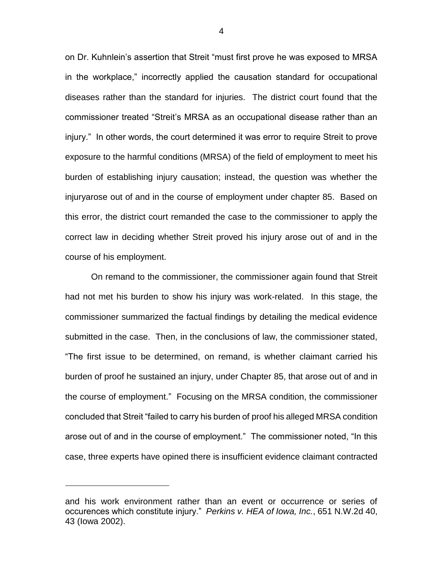on Dr. Kuhnlein's assertion that Streit "must first prove he was exposed to MRSA in the workplace," incorrectly applied the causation standard for occupational diseases rather than the standard for injuries. The district court found that the commissioner treated "Streit's MRSA as an occupational disease rather than an injury." In other words, the court determined it was error to require Streit to prove exposure to the harmful conditions (MRSA) of the field of employment to meet his burden of establishing injury causation; instead, the question was whether the injuryarose out of and in the course of employment under chapter 85. Based on this error, the district court remanded the case to the commissioner to apply the correct law in deciding whether Streit proved his injury arose out of and in the course of his employment.

On remand to the commissioner, the commissioner again found that Streit had not met his burden to show his injury was work-related. In this stage, the commissioner summarized the factual findings by detailing the medical evidence submitted in the case. Then, in the conclusions of law, the commissioner stated, "The first issue to be determined, on remand, is whether claimant carried his burden of proof he sustained an injury, under Chapter 85, that arose out of and in the course of employment." Focusing on the MRSA condition, the commissioner concluded that Streit "failed to carry his burden of proof his alleged MRSA condition arose out of and in the course of employment." The commissioner noted, "In this case, three experts have opined there is insufficient evidence claimant contracted

 $\overline{a}$ 

and his work environment rather than an event or occurrence or series of occurences which constitute injury." *Perkins v. HEA of Iowa, Inc.*, 651 N.W.2d 40, 43 (Iowa 2002).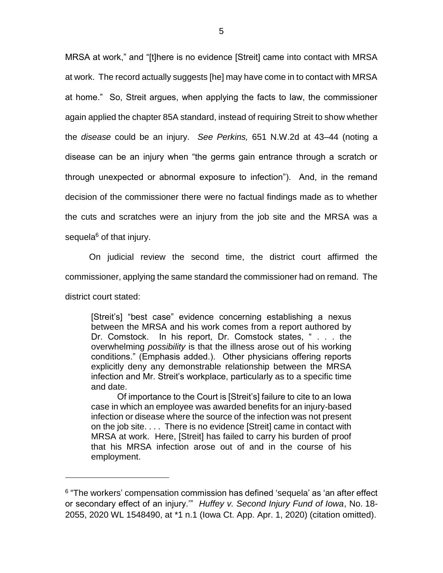MRSA at work," and "[t]here is no evidence [Streit] came into contact with MRSA at work. The record actually suggests [he] may have come in to contact with MRSA at home." So, Streit argues, when applying the facts to law, the commissioner again applied the chapter 85A standard, instead of requiring Streit to show whether the *disease* could be an injury. *See Perkins,* 651 N.W.2d at 43–44 (noting a disease can be an injury when "the germs gain entrance through a scratch or through unexpected or abnormal exposure to infection"). And, in the remand decision of the commissioner there were no factual findings made as to whether the cuts and scratches were an injury from the job site and the MRSA was a sequela $6$  of that injury.

On judicial review the second time, the district court affirmed the commissioner, applying the same standard the commissioner had on remand. The district court stated:

[Streit's] "best case" evidence concerning establishing a nexus between the MRSA and his work comes from a report authored by Dr. Comstock. In his report, Dr. Comstock states, " . . . the overwhelming *possibility* is that the illness arose out of his working conditions." (Emphasis added.). Other physicians offering reports explicitly deny any demonstrable relationship between the MRSA infection and Mr. Streit's workplace, particularly as to a specific time and date.

Of importance to the Court is [Streit's] failure to cite to an Iowa case in which an employee was awarded benefits for an injury-based infection or disease where the source of the infection was not present on the job site. . . . There is no evidence [Streit] came in contact with MRSA at work. Here, [Streit] has failed to carry his burden of proof that his MRSA infection arose out of and in the course of his employment.

 $\overline{a}$ 

<sup>&</sup>lt;sup>6</sup> "The workers' compensation commission has defined 'sequela' as 'an after effect or secondary effect of an injury.'" *Huffey v. Second Injury Fund of Iowa*, No. 18- 2055, 2020 WL 1548490, at \*1 n.1 (Iowa Ct. App. Apr. 1, 2020) (citation omitted).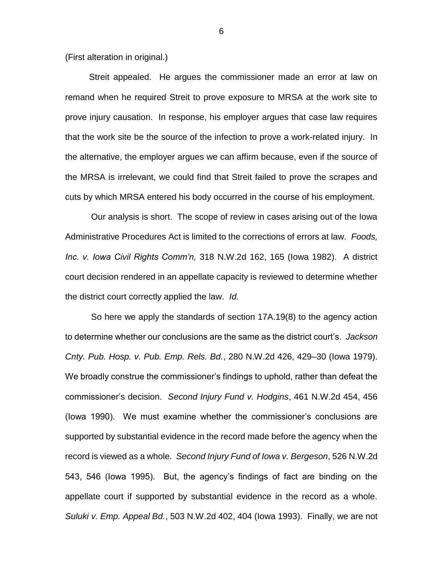(First alteration in original.)

Streit appealed. He argues the commissioner made an error at law on remand when he required Streit to prove exposure to MRSA at the work site to prove injury causation. In response, his employer argues that case law requires that the work site be the source of the infection to prove a work-related injury. In the alternative, the employer argues we can affirm because, even if the source of the MRSA is irrelevant, we could find that Streit failed to prove the scrapes and cuts by which MRSA entered his body occurred in the course of his employment.

Our analysis is short. The scope of review in cases arising out of the Iowa Administrative Procedures Act is limited to the corrections of errors at law. *Foods, Inc. v. Iowa Civil Rights Comm'n,* 318 N.W.2d 162, 165 (Iowa 1982). A district court decision rendered in an appellate capacity is reviewed to determine whether the district court correctly applied the law. *Id.*

So here we apply the standards of section 17A.19(8) to the agency action to determine whether our conclusions are the same as the district court's. *Jackson Cnty. Pub. Hosp. v. Pub. Emp. Rels. Bd.*, 280 N.W.2d 426, 429–30 (Iowa 1979). We broadly construe the commissioner's findings to uphold, rather than defeat the commissioner's decision. *Second Injury Fund v. Hodgins*, 461 N.W.2d 454, 456 (Iowa 1990). We must examine whether the commissioner's conclusions are supported by substantial evidence in the record made before the agency when the record is viewed as a whole. *Second Injury Fund of Iowa v. Bergeson*, 526 N.W.2d 543, 546 (Iowa 1995). But, the agency's findings of fact are binding on the appellate court if supported by substantial evidence in the record as a whole. *Suluki v. Emp. Appeal Bd.*, 503 N.W.2d 402, 404 (Iowa 1993). Finally, we are not

6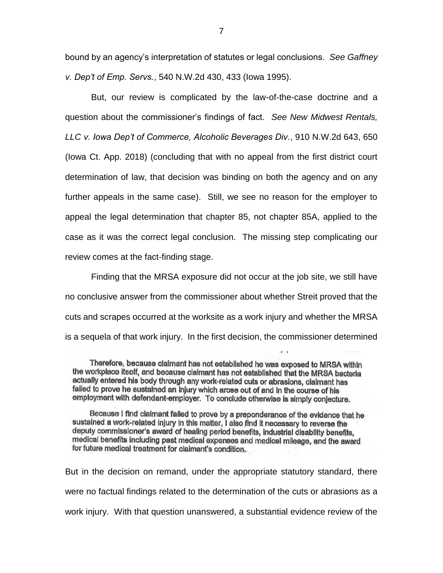bound by an agency's interpretation of statutes or legal conclusions. *See Gaffney v. Dep't of Emp. Servs.*, 540 N.W.2d 430, 433 (Iowa 1995).

But, our review is complicated by the law-of-the-case doctrine and a question about the commissioner's findings of fact. *See New Midwest Rentals, LLC v. Iowa Dep't of Commerce, Alcoholic Beverages Div.*, 910 N.W.2d 643, 650 (Iowa Ct. App. 2018) (concluding that with no appeal from the first district court determination of law, that decision was binding on both the agency and on any further appeals in the same case). Still, we see no reason for the employer to appeal the legal determination that chapter 85, not chapter 85A, applied to the case as it was the correct legal conclusion. The missing step complicating our review comes at the fact-finding stage.

Finding that the MRSA exposure did not occur at the job site, we still have no conclusive answer from the commissioner about whether Streit proved that the cuts and scrapes occurred at the worksite as a work injury and whether the MRSA is a sequela of that work injury. In the first decision, the commissioner determined

Because I find claimant failed to prove by a preponderance of the evidence that he sustained a work-related injury in this matter, I also find it necessary to reverse the deputy commissioner's award of healing period benefits, industrial disability benefits, medical benefits including past medical expenses and medical mileage, and the award for future medical treatment for claimant's condition.

But in the decision on remand, under the appropriate statutory standard, there were no factual findings related to the determination of the cuts or abrasions as a work injury. With that question unanswered, a substantial evidence review of the

Therefore, because claimant has not established he was exposed to MRSA within the workplace itself, and because claimant has not established that the MRSA bacteria actually entered his body through any work-related cuts or abrasions, claimant has failed to prove he sustained an injury which arose out of and in the course of his employment with defendant-employer. To conclude otherwise is simply conjecture.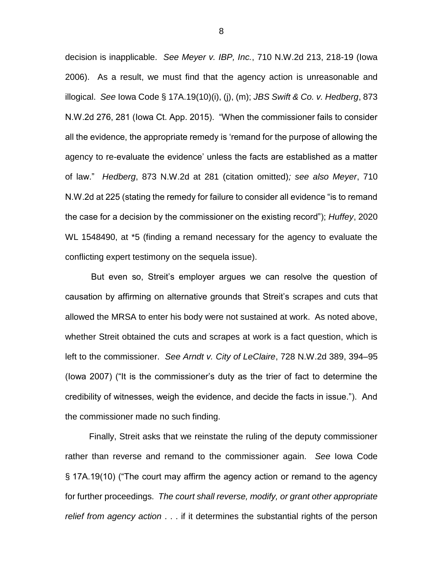decision is inapplicable. *See Meyer v. IBP, Inc.*, 710 N.W.2d 213, 218-19 (Iowa 2006). As a result, we must find that the agency action is unreasonable and illogical. *See* Iowa Code § 17A.19(10)(i), (j), (m); *JBS Swift & Co. v. Hedberg*, 873 N.W.2d 276, 281 (Iowa Ct. App. 2015). "When the commissioner fails to consider all the evidence, the appropriate remedy is 'remand for the purpose of allowing the agency to re-evaluate the evidence' unless the facts are established as a matter of law." *Hedberg*, 873 N.W.2d at 281 (citation omitted)*; see also Meyer*, 710 N.W.2d at 225 (stating the remedy for failure to consider all evidence "is to remand the case for a decision by the commissioner on the existing record"); *Huffey*, 2020 WL 1548490, at \*5 (finding a remand necessary for the agency to evaluate the conflicting expert testimony on the sequela issue).

But even so, Streit's employer argues we can resolve the question of causation by affirming on alternative grounds that Streit's scrapes and cuts that allowed the MRSA to enter his body were not sustained at work. As noted above, whether Streit obtained the cuts and scrapes at work is a fact question, which is left to the commissioner. *See Arndt v. City of LeClaire*, 728 N.W.2d 389, 394–95 (Iowa 2007) ("It is the commissioner's duty as the trier of fact to determine the credibility of witnesses, weigh the evidence, and decide the facts in issue."). And the commissioner made no such finding.

Finally, Streit asks that we reinstate the ruling of the deputy commissioner rather than reverse and remand to the commissioner again. *See* Iowa Code § 17A.19(10) ("The court may affirm the agency action or remand to the agency for further proceedings. *The court shall reverse, modify, or grant other appropriate relief from agency action* . . . if it determines the substantial rights of the person

8